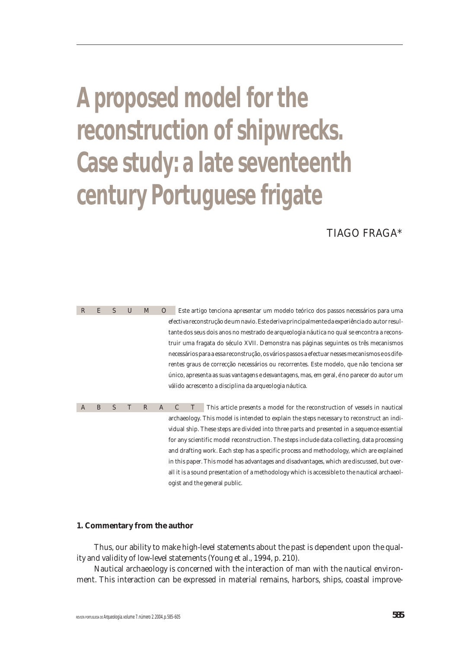# **A proposed model for the reconstruction of shipwrecks. Case study: a late seventeenth century Portuguese frigate**

# TIAGO FRAGA\*

R E S U M O Este artigo tenciona apresentar um modelo teórico dos passos necessários para uma efectiva reconstrução de um navio. Este deriva principalmente da experiência do autor resultante dos seus dois anos no mestrado de arqueologia náutica no qual se encontra a reconstruir uma fragata do século XVII. Demonstra nas páginas seguintes os três mecanismos necessários para a essa reconstrução, os vários passos a efectuar nesses mecanismos e os diferentes graus de correcção necessários ou recorrentes. Este modelo, que não tenciona ser único, apresenta as suas vantagens e desvantagens, mas, em geral, é no parecer do autor um válido acrescento a disciplina da arqueologia náutica.

ABSTRACT This article presents a model for the reconstruction of vessels in nautical archaeology. This model is intended to explain the steps necessary to reconstruct an individual ship. These steps are divided into three parts and presented in a sequence essential for any scientific model reconstruction. The steps include data collecting, data processing and drafting work. Each step has a specific process and methodology, which are explained in this paper. This model has advantages and disadvantages, which are discussed, but overall it is a sound presentation of a methodology which is accessible to the nautical archaeologist and the general public.

#### **1. Commentary from the author**

Thus, our ability to make high-level statements about the past is dependent upon the quality and validity of low-level statements (Young et al., 1994, p. 210).

Nautical archaeology is concerned with the interaction of man with the nautical environment. This interaction can be expressed in material remains, harbors, ships, coastal improve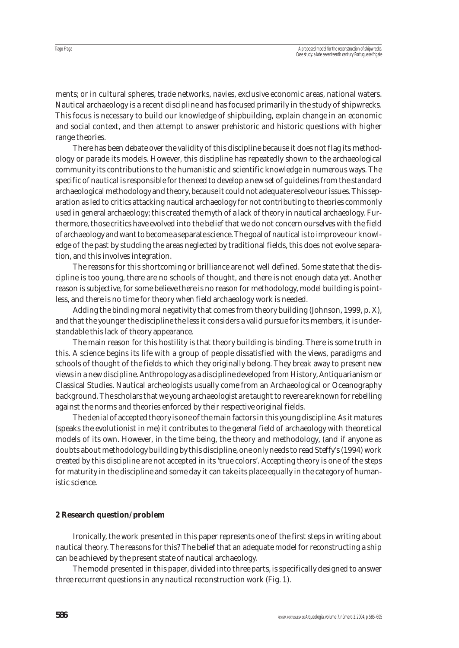ments; or in cultural spheres, trade networks, navies, exclusive economic areas, national waters. Nautical archaeology is a recent discipline and has focused primarily in the study of shipwrecks. This focus is necessary to build our knowledge of shipbuilding, explain change in an economic and social context, and then attempt to answer prehistoric and historic questions with higher range theories.

There has been debate over the validity of this discipline because it does not flag its methodology or parade its models. However, this discipline has repeatedly shown to the archaeological community its contributions to the humanistic and scientific knowledge in numerous ways. The specific of nautical is responsible for the need to develop a new set of guidelines from the standard archaeological methodology and theory, because it could not adequate resolve our issues. This separation as led to critics attacking nautical archaeology for not contributing to theories commonly used in general archaeology; this created the myth of a lack of theory in nautical archaeology. Furthermore, those critics have evolved into the belief that we do not concern ourselves with the field of archaeology and want to become a separate science. The goal of nautical is to improve our knowledge of the past by studding the areas neglected by traditional fields, this does not evolve separation, and this involves integration.

The reasons for this shortcoming or brilliance are not well defined. Some state that the discipline is too young, there are no schools of thought, and there is not enough data yet. Another reason is subjective, for some believe there is no reason for methodology, model building is pointless, and there is no time for theory when field archaeology work is needed.

Adding the binding moral negativity that comes from theory building (Johnson, 1999, p. X), and that the younger the discipline the less it considers a valid pursue for its members, it is understandable this lack of theory appearance.

The main reason for this hostility is that theory building is binding. There is some truth in this. A science begins its life with a group of people dissatisfied with the views, paradigms and schools of thought of the fields to which they originally belong. They break away to present new views in a new discipline. Anthropology as a discipline developed from History, Antiquarianism or Classical Studies. Nautical archeologists usually come from an Archaeological or Oceanography background. The scholars that we young archaeologist are taught to revere are known for rebelling against the norms and theories enforced by their respective original fields.

The denial of accepted theory is one of the main factors in this young discipline. As it matures (speaks the evolutionist in me) it contributes to the general field of archaeology with theoretical models of its own. However, in the time being, the theory and methodology, (and if anyone as doubts about methodology building by this discipline, one only needs to read Steffy's (1994) work created by this discipline are not accepted in its 'true colors'. Accepting theory is one of the steps for maturity in the discipline and some day it can take its place equally in the category of humanistic science.

#### **2 Research question/problem**

Ironically, the work presented in this paper represents one of the first steps in writing about nautical theory. The reasons for this? The belief that an adequate model for reconstructing a ship can be achieved by the present state of nautical archaeology.

The model presented in this paper, divided into three parts, is specifically designed to answer three recurrent questions in any nautical reconstruction work (Fig. 1).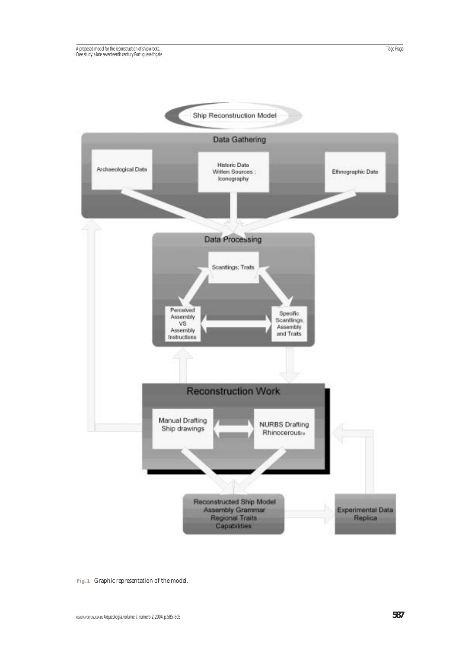

**Fig. 1** Graphic representation of the model.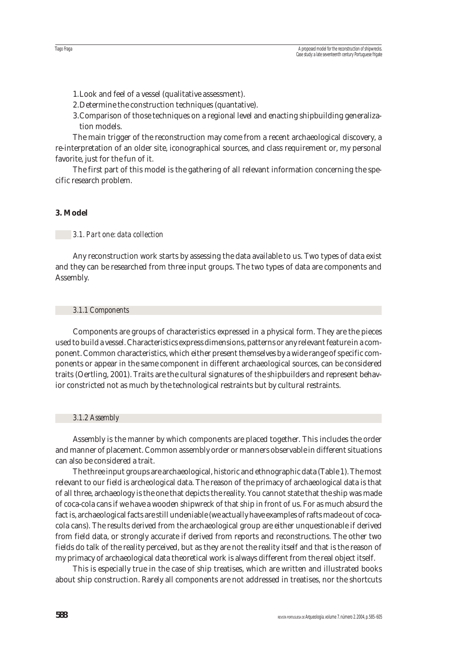1.Look and feel of a vessel (qualitative assessment).

- 2.Determine the construction techniques (quantative).
- 3.Comparison of those techniques on a regional level and enacting shipbuilding generalization models.

The main trigger of the reconstruction may come from a recent archaeological discovery, a re-interpretation of an older site, iconographical sources, and class requirement or, my personal favorite, just for the fun of it.

The first part of this model is the gathering of all relevant information concerning the specific research problem.

## **3. Model**

Tiago Fraga

## *3.1. Part one: data collection*

Any reconstruction work starts by assessing the data available to us. Two types of data exist and they can be researched from three input groups. The two types of data are components and Assembly.

#### *3.1.1 Components*

Components are groups of characteristics expressed in a physical form. They are the pieces used to build a vessel. Characteristics express dimensions, patterns or any relevant feature in a component. Common characteristics, which either present themselves by a wide range of specific components or appear in the same component in different archaeological sources, can be considered traits (Oertling, 2001). Traits are the cultural signatures of the shipbuilders and represent behavior constricted not as much by the technological restraints but by cultural restraints.

#### *3.1.2 Assembly*

Assembly is the manner by which components are placed together. This includes the order and manner of placement. Common assembly order or manners observable in different situations can also be considered a trait.

The three input groups are archaeological, historic and ethnographic data (Table 1). The most relevant to our field is archeological data. The reason of the primacy of archaeological data is that of all three, archaeology is the one that depicts the reality. You cannot state that the ship was made of coca-cola cans if we have a wooden shipwreck of that ship in front of us. For as much absurd the fact is, archaeological facts are still undeniable (we actually have examples of rafts made out of cocacola cans). The results derived from the archaeological group are either unquestionable if derived from field data, or strongly accurate if derived from reports and reconstructions. The other two fields do talk of the reality perceived, but as they are not the reality itself and that is the reason of my primacy of archaeological data theoretical work is always different from the real object itself.

This is especially true in the case of ship treatises, which are written and illustrated books about ship construction. Rarely all components are not addressed in treatises, nor the shortcuts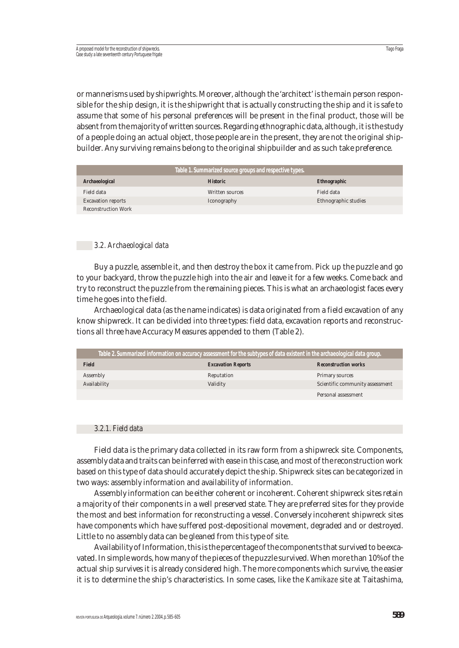or mannerisms used by shipwrights. Moreover, although the 'architect' is the main person responsible for the ship design, it is the shipwright that is actually constructing the ship and it is safe to assume that some of his personal preferences will be present in the final product, those will be absent from the majority of written sources. Regarding ethnographic data, although, it is the study of a people doing an actual object, those people are in the present, they are not the original shipbuilder. Any surviving remains belong to the original shipbuilder and as such take preference.

| Table 1. Summarized source groups and respective types. |                 |                      |  |
|---------------------------------------------------------|-----------------|----------------------|--|
| <b>Archaeological</b>                                   | <b>Historic</b> | <b>Ethnographic</b>  |  |
| Field data                                              | Written sources | Field data           |  |
| <b>Excavation reports</b>                               | Iconography     | Ethnographic studies |  |
| <b>Reconstruction Work</b>                              |                 |                      |  |

#### *3.2. Archaeological data*

Buy a puzzle, assemble it, and then destroy the box it came from. Pick up the puzzle and go to your backyard, throw the puzzle high into the air and leave it for a few weeks. Come back and try to reconstruct the puzzle from the remaining pieces. This is what an archaeologist faces every time he goes into the field.

Archaeological data (as the name indicates) is data originated from a field excavation of any know shipwreck. It can be divided into three types: field data, excavation reports and reconstructions all three have Accuracy Measures appended to them (Table 2).

| Table 2. Summarized information on accuracy assessment for the subtypes of data existent in the archaeological data group. |                           |                                 |
|----------------------------------------------------------------------------------------------------------------------------|---------------------------|---------------------------------|
| <b>Field</b>                                                                                                               | <b>Excavation Reports</b> | <b>Reconstruction works</b>     |
| Assembly                                                                                                                   | Reputation                | Primary sources                 |
| Availability                                                                                                               | Validity                  | Scientific community assessment |
|                                                                                                                            |                           | Personal assessment             |
|                                                                                                                            |                           |                                 |

#### *3.2.1. Field data*

Field data is the primary data collected in its raw form from a shipwreck site. Components, assembly data and traits can be inferred with ease in this case, and most of the reconstruction work based on this type of data should accurately depict the ship. Shipwreck sites can be categorized in two ways: assembly information and availability of information.

Assembly information can be either coherent or incoherent. Coherent shipwreck sites retain a majority of their components in a well preserved state. They are preferred sites for they provide the most and best information for reconstructing a vessel. Conversely incoherent shipwreck sites have components which have suffered post-depositional movement, degraded and or destroyed. Little to no assembly data can be gleaned from this type of site.

Availability of Information, this is the percentage of the components that survived to be excavated. In simple words, how many of the pieces of the puzzle survived. When more than 10% of the actual ship survives it is already considered high. The more components which survive, the easier it is to determine the ship's characteristics. In some cases, like the *Kamikaze* site at Taitashima,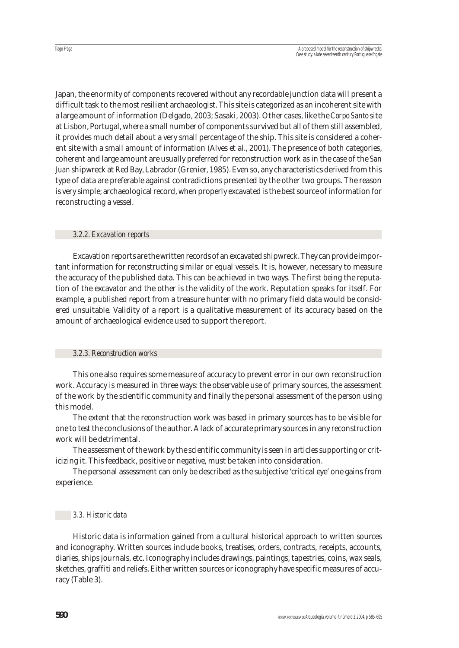Japan, the enormity of components recovered without any recordable junction data will present a difficult task to the most resilient archaeologist. This site is categorized as an incoherent site with a large amount of information (Delgado, 2003; Sasaki, 2003). Other cases, like the *Corpo Santo* site at Lisbon, Portugal, where a small number of components survived but all of them still assembled, it provides much detail about a very small percentage of the ship. This site is considered a coherent site with a small amount of information (Alves et al., 2001). The presence of both categories, coherent and large amount are usually preferred for reconstruction work as in the case of the *San Juan* shipwreck at Red Bay, Labrador (Grenier, 1985). Even so, any characteristics derived from this type of data are preferable against contradictions presented by the other two groups. The reason is very simple; archaeological record, when properly excavated is the best source of information for reconstructing a vessel.

## *3.2.2. Excavation reports*

Excavation reports are the written records of an excavated shipwreck. They can provide important information for reconstructing similar or equal vessels. It is, however, necessary to measure the accuracy of the published data. This can be achieved in two ways. The first being the reputation of the excavator and the other is the validity of the work. Reputation speaks for itself. For example, a published report from a treasure hunter with no primary field data would be considered unsuitable. Validity of a report is a qualitative measurement of its accuracy based on the amount of archaeological evidence used to support the report.

# *3.2.3. Reconstruction works*

This one also requires some measure of accuracy to prevent error in our own reconstruction work. Accuracy is measured in three ways: the observable use of primary sources, the assessment of the work by the scientific community and finally the personal assessment of the person using this model.

The extent that the reconstruction work was based in primary sources has to be visible for one to test the conclusions of the author. A lack of accurate primary sources in any reconstruction work will be detrimental.

The assessment of the work by the scientific community is seen in articles supporting or criticizing it. This feedback, positive or negative, must be taken into consideration.

The personal assessment can only be described as the subjective 'critical eye' one gains from experience.

# *3.3. Historic data*

Historic data is information gained from a cultural historical approach to written sources and iconography. Written sources include books, treatises, orders, contracts, receipts, accounts, diaries, ships journals, etc. Iconography includes drawings, paintings, tapestries, coins, wax seals, sketches, graffiti and reliefs. Either written sources or iconography have specific measures of accuracy (Table 3).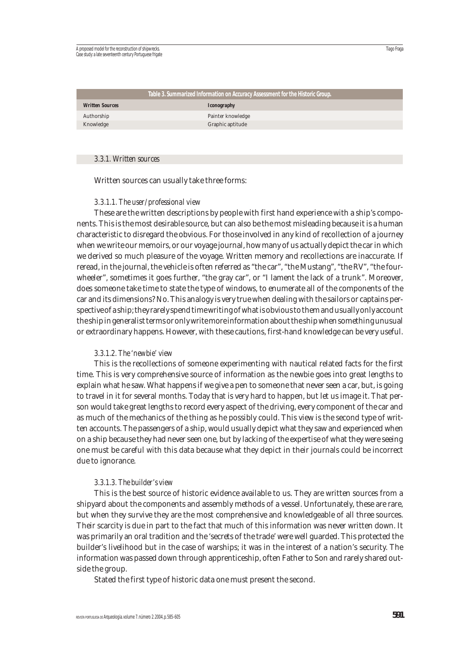| Table 3. Summarized Information on Accuracy Assessment for the Historic Group. |                    |  |
|--------------------------------------------------------------------------------|--------------------|--|
| <b>Written Sources</b>                                                         | <i>Iconography</i> |  |
| Authorship                                                                     | Painter knowledge  |  |
| Knowledge                                                                      | Graphic aptitude   |  |

#### *3.3.1. Written sources*

Written sources can usually take three forms:

#### *3.3.1.1. The user/professional view*

These are the written descriptions by people with first hand experience with a ship's components. This is the most desirable source, but can also be the most misleading because it is a human characteristic to disregard the obvious. For those involved in any kind of recollection of a journey when we write our memoirs, or our voyage journal, how many of us actually depict the car in which we derived so much pleasure of the voyage. Written memory and recollections are inaccurate. If reread, in the journal, the vehicle is often referred as "the car", "the Mustang", "the RV", "the fourwheeler", sometimes it goes further, "the gray car", or "I lament the lack of a trunk". Moreover, does someone take time to state the type of windows, to enumerate all of the components of the car and its dimensions? No. This analogy is very true when dealing with the sailors or captains perspective of a ship; they rarely spend time writing of what is obvious to them and usually only account the ship in generalist terms or only write more information about the ship when something unusual or extraordinary happens. However, with these cautions, first-hand knowledge can be very useful.

#### *3.3.1.2. The 'newbie' view*

This is the recollections of someone experimenting with nautical related facts for the first time. This is very comprehensive source of information as the newbie goes into great lengths to explain what he saw. What happens if we give a pen to someone that never seen a car, but, is going to travel in it for several months. Today that is very hard to happen, but let us image it. That person would take great lengths to record every aspect of the driving, every component of the car and as much of the mechanics of the thing as he possibly could. This view is the second type of written accounts. The passengers of a ship, would usually depict what they saw and experienced when on a ship because they had never seen one, but by lacking of the expertise of what they were seeing one must be careful with this data because what they depict in their journals could be incorrect due to ignorance.

#### *3.3.1.3. The builder's view*

This is the best source of historic evidence available to us. They are written sources from a shipyard about the components and assembly methods of a vessel. Unfortunately, these are rare, but when they survive they are the most comprehensive and knowledgeable of all three sources. Their scarcity is due in part to the fact that much of this information was never written down. It was primarily an oral tradition and the 'secrets of the trade' were well guarded. This protected the builder's livelihood but in the case of warships; it was in the interest of a nation's security. The information was passed down through apprenticeship, often Father to Son and rarely shared outside the group.

Stated the first type of historic data one must present the second.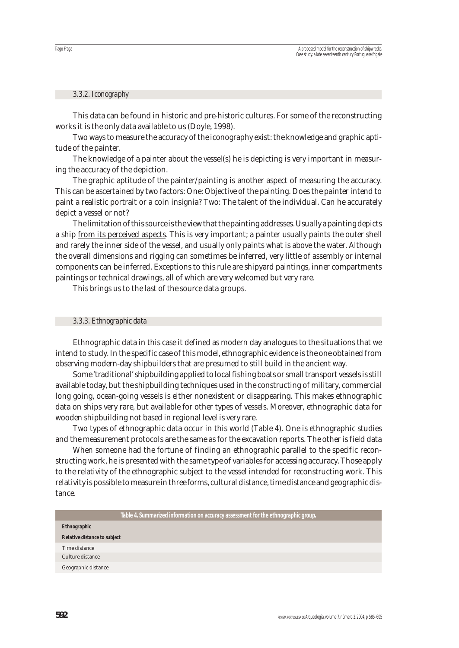#### *3.3.2. Iconography*

This data can be found in historic and pre-historic cultures. For some of the reconstructing works it is the only data available to us (Doyle, 1998).

Two ways to measure the accuracy of the iconography exist: the knowledge and graphic aptitude of the painter.

The knowledge of a painter about the vessel(s) he is depicting is very important in measuring the accuracy of the depiction.

The graphic aptitude of the painter/painting is another aspect of measuring the accuracy. This can be ascertained by two factors: One: Objective of the painting. Does the painter intend to paint a realistic portrait or a coin insignia? Two: The talent of the individual. Can he accurately depict a vessel or not?

The limitation of this source is the view that the painting addresses. Usually a painting depicts a ship from its perceived aspects. This is very important; a painter usually paints the outer shell and rarely the inner side of the vessel, and usually only paints what is above the water. Although the overall dimensions and rigging can sometimes be inferred, very little of assembly or internal components can be inferred. Exceptions to this rule are shipyard paintings, inner compartments paintings or technical drawings, all of which are very welcomed but very rare.

This brings us to the last of the source data groups.

#### *3.3.3. Ethnographic data*

Ethnographic data in this case it defined as modern day analogues to the situations that we intend to study. In the specific case of this model, ethnographic evidence is the one obtained from observing modern-day shipbuilders that are presumed to still build in the ancient way.

Some 'traditional' shipbuilding applied to local fishing boats or small transport vessels is still available today, but the shipbuilding techniques used in the constructing of military, commercial long going, ocean-going vessels is either nonexistent or disappearing. This makes ethnographic data on ships very rare, but available for other types of vessels. Moreover, ethnographic data for wooden shipbuilding not based in regional level is very rare.

Two types of ethnographic data occur in this world (Table 4). One is ethnographic studies and the measurement protocols are the same as for the excavation reports. The other is field data

When someone had the fortune of finding an ethnographic parallel to the specific reconstructing work, he is presented with the same type of variables for accessing accuracy. Those apply to the relativity of the ethnographic subject to the vessel intended for reconstructing work. This relativity is possible to measure in three forms, cultural distance, time distance and geographic distance.

| Table 4. Summarized information on accuracy assessment for the ethnographic group. |
|------------------------------------------------------------------------------------|
| <b>Ethnographic</b>                                                                |
| <b>Relative distance to subject</b>                                                |
| Time distance                                                                      |
| Culture distance                                                                   |
| Geographic distance                                                                |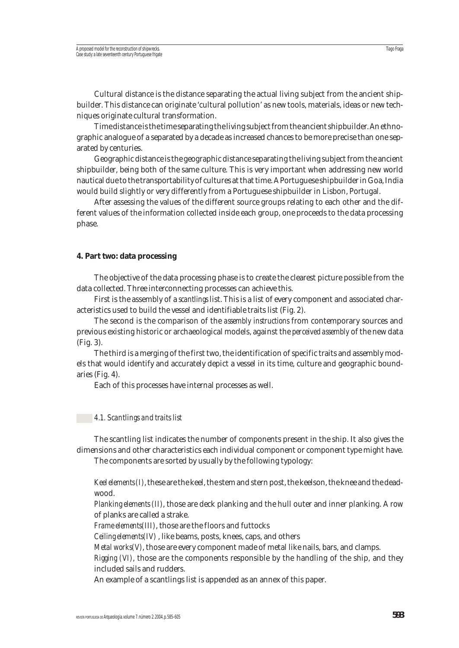Cultural distance is the distance separating the actual living subject from the ancient shipbuilder. This distance can originate 'cultural pollution' as new tools, materials, ideas or new techniques originate cultural transformation.

Time distance is the time separating the living subject from the ancient shipbuilder. An ethnographic analogue of a separated by a decade as increased chances to be more precise than one separated by centuries.

Geographic distance is the geographic distance separating the living subject from the ancient shipbuilder, being both of the same culture. This is very important when addressing new world nautical due to the transportability of cultures at that time. A Portuguese shipbuilder in Goa, India would build slightly or very differently from a Portuguese shipbuilder in Lisbon, Portugal.

After assessing the values of the different source groups relating to each other and the different values of the information collected inside each group, one proceeds to the data processing phase.

#### **4. Part two: data processing**

The objective of the data processing phase is to create the clearest picture possible from the data collected. Three interconnecting processes can achieve this.

First is the assembly of a *scantlings* list. This is a list of every component and associated characteristics used to build the vessel and identifiable traits list (Fig. 2).

The second is the comparison of the *assembly instructions* from contemporary sources and previous existing historic or archaeological models, against the *perceived assembly* of the new data (Fig. 3).

The third is a merging of the first two, the identification of specific traits and assembly models that would identify and accurately depict a vessel in its time, culture and geographic boundaries (Fig. 4).

Each of this processes have internal processes as well.

#### *4.1. Scantlings and traits list*

The scantling list indicates the number of components present in the ship. It also gives the dimensions and other characteristics each individual component or component type might have.

The components are sorted by usually by the following typology:

*Keel elements (I)*, these are the keel, the stem and stern post, the keelson, the knee and the deadwood.

*Planking elements (II)*, those are deck planking and the hull outer and inner planking. A row of planks are called a strake.

*Frame elements(III)*, those are the floors and futtocks

*Ceiling elements(IV)* , like beams, posts, knees, caps, and others

*Metal works(V)*, those are every component made of metal like nails, bars, and clamps.

*Rigging (VI)*, those are the components responsible by the handling of the ship, and they included sails and rudders.

An example of a scantlings list is appended as an annex of this paper.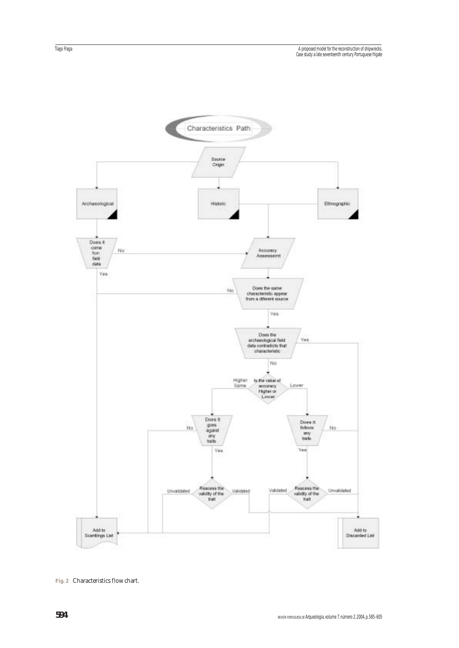

**Fig. 2** Characteristics flow chart.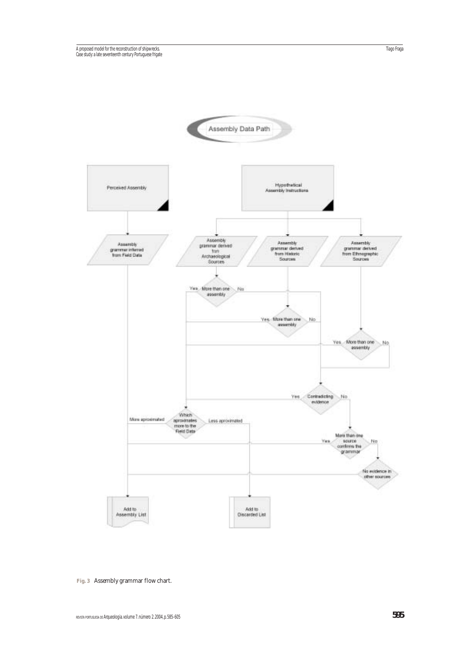

**Fig. 3** Assembly grammar flow chart.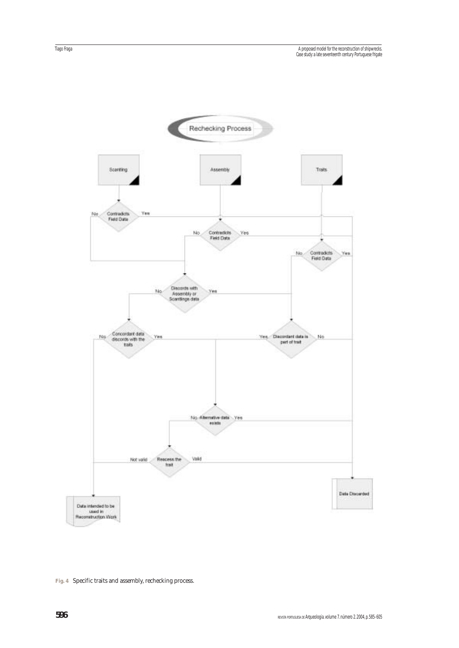

**Fig. 4** Specific traits and assembly, rechecking process.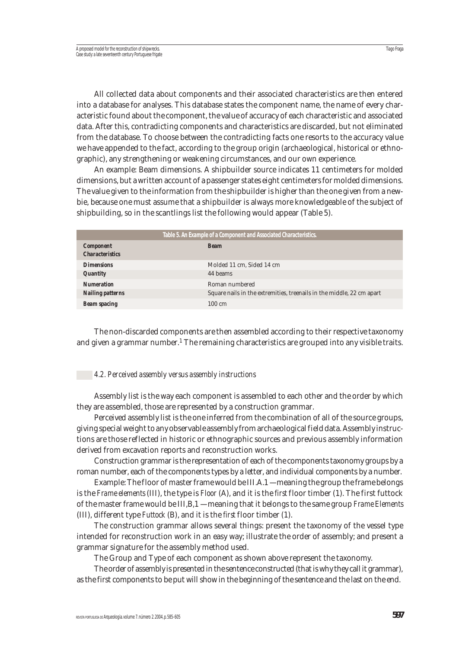All collected data about components and their associated characteristics are then entered into a database for analyses. This database states the component name, the name of every characteristic found about the component, the value of accuracy of each characteristic and associated data. After this, contradicting components and characteristics are discarded, but not eliminated from the database. To choose between the contradicting facts one resorts to the accuracy value we have appended to the fact, according to the group origin (archaeological, historical or ethnographic), any strengthening or weakening circumstances, and our own experience.

An example: Beam dimensions. A shipbuilder source indicates 11 centimeters for molded dimensions, but a written account of a passenger states eight centimeters for molded dimensions. The value given to the information from the shipbuilder is higher than the one given from a newbie, because one must assume that a shipbuilder is always more knowledgeable of the subject of shipbuilding, so in the scantlings list the following would appear (Table 5).

| Table 5. An Example of a Component and Associated Characteristics. |                                                                       |  |
|--------------------------------------------------------------------|-----------------------------------------------------------------------|--|
| <b>Component</b><br><b>Characteristics</b>                         | <b>Beam</b>                                                           |  |
| <b>Dimensions</b>                                                  | Molded 11 cm, Sided 14 cm                                             |  |
| <b>Quantity</b>                                                    | 44 beams                                                              |  |
| <b>Numeration</b>                                                  | Roman numbered                                                        |  |
| <b>Nailing patterns</b>                                            | Square nails in the extremities, treenails in the middle, 22 cm apart |  |
| <b>Beam spacing</b>                                                | $100 \text{ cm}$                                                      |  |
|                                                                    |                                                                       |  |

The non-discarded components are then assembled according to their respective taxonomy and given a grammar number.<sup>1</sup> The remaining characteristics are grouped into any visible traits.

#### *4.2. Perceived assembly versus assembly instructions*

Assembly list is the way each component is assembled to each other and the order by which they are assembled, those are represented by a construction grammar.

Perceived assembly list is the one inferred from the combination of all of the source groups, giving special weight to any observable assembly from archaeological field data. Assembly instructions are those reflected in historic or ethnographic sources and previous assembly information derived from excavation reports and reconstruction works.

Construction grammar is the representation of each of the components taxonomy groups by a roman number, each of the components types by a letter, and individual components by a number.

Example: The floor of master frame would be III.A.1 — meaning the group the frame belongs is the *Frame elements* (III), the type is *Floor* (A), and it is the *first* floor timber (1). The first futtock of the master frame would be III,B,1 — meaning that it belongs to the same group *Frame Elements* (III), different type *Futtock* (B), and it is the *first* floor timber (1).

The construction grammar allows several things: present the taxonomy of the vessel type intended for reconstruction work in an easy way; illustrate the order of assembly; and present a grammar signature for the assembly method used.

The Group and Type of each component as shown above represent the taxonomy.

The order of assembly is presented in the sentence constructed (that is why they call it grammar), as the first components to be put will show in the beginning of the sentence and the last on the end.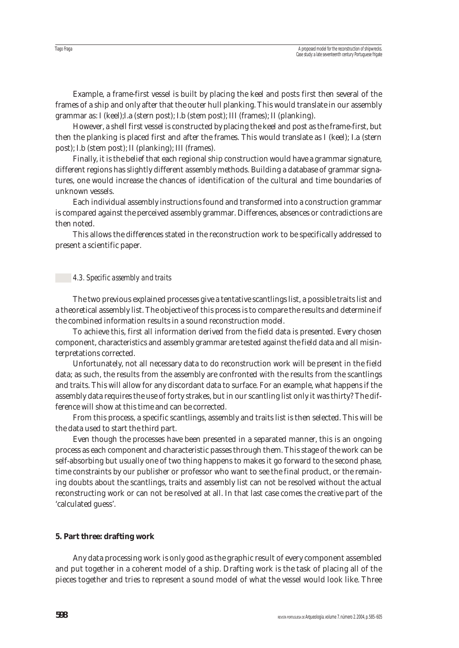Example, a frame-first vessel is built by placing the keel and posts first then several of the frames of a ship and only after that the outer hull planking. This would translate in our assembly grammar as: I (keel);I.a (stern post); I.b (stem post); III (frames); II (planking).

However, a shell first vessel is constructed by placing the keel and post as the frame-first, but then the planking is placed first and after the frames. This would translate as I (keel); I.a (stern post); I.b (stem post); II (planking); III (frames).

Finally, it is the belief that each regional ship construction would have a grammar signature, different regions has slightly different assembly methods. Building a database of grammar signatures, one would increase the chances of identification of the cultural and time boundaries of unknown vessels.

Each individual assembly instructions found and transformed into a construction grammar is compared against the perceived assembly grammar. Differences, absences or contradictions are then noted.

This allows the differences stated in the reconstruction work to be specifically addressed to present a scientific paper.

#### *4.3. Specific assembly and traits*

The two previous explained processes give a tentative scantlings list, a possible traits list and a theoretical assembly list. The objective of this process is to compare the results and determine if the combined information results in a sound reconstruction model.

To achieve this, first all information derived from the field data is presented. Every chosen component, characteristics and assembly grammar are tested against the field data and all misinterpretations corrected.

Unfortunately, not all necessary data to do reconstruction work will be present in the field data; as such, the results from the assembly are confronted with the results from the scantlings and traits. This will allow for any discordant data to surface. For an example, what happens if the assembly data requires the use of forty strakes, but in our scantling list only it was thirty? The difference will show at this time and can be corrected.

From this process, a specific scantlings, assembly and traits list is then selected. This will be the data used to start the third part.

Even though the processes have been presented in a separated manner, this is an ongoing process as each component and characteristic passes through them. This stage of the work can be self-absorbing but usually one of two thing happens to makes it go forward to the second phase, time constraints by our publisher or professor who want to see the final product, or the remaining doubts about the scantlings, traits and assembly list can not be resolved without the actual reconstructing work or can not be resolved at all. In that last case comes the creative part of the 'calculated guess'.

#### **5. Part three: drafting work**

Any data processing work is only good as the graphic result of every component assembled and put together in a coherent model of a ship. Drafting work is the task of placing all of the pieces together and tries to represent a sound model of what the vessel would look like. Three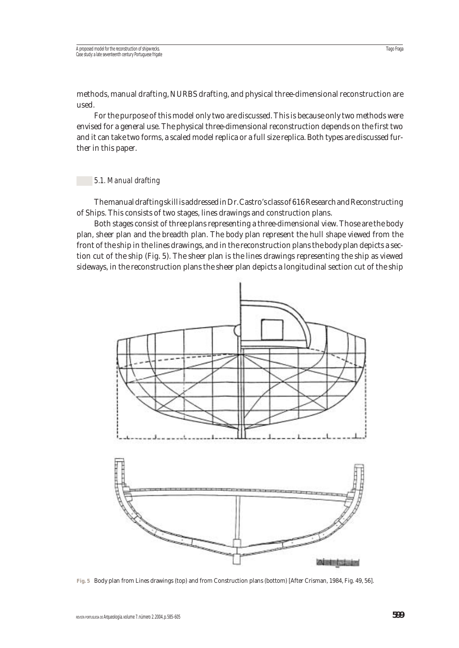methods, manual drafting, NURBS drafting, and physical three-dimensional reconstruction are used.

For the purpose of this model only two are discussed. This is because only two methods were envised for a general use. The physical three-dimensional reconstruction depends on the first two and it can take two forms, a scaled model replica or a full size replica. Both types are discussed further in this paper.

#### *5.1. Manual drafting*

The manual drafting skill is addressed in Dr. Castro's class of 616 Research and Reconstructing of Ships. This consists of two stages, lines drawings and construction plans.

Both stages consist of three plans representing a three-dimensional view. Those are the body plan, sheer plan and the breadth plan. The body plan represent the hull shape viewed from the front of the ship in the lines drawings, and in the reconstruction plans the body plan depicts a section cut of the ship (Fig. 5). The sheer plan is the lines drawings representing the ship as viewed sideways, in the reconstruction plans the sheer plan depicts a longitudinal section cut of the ship



**Fig. 5** Body plan from Lines drawings (top) and from Construction plans (bottom) [After Crisman, 1984, Fig. 49, 56].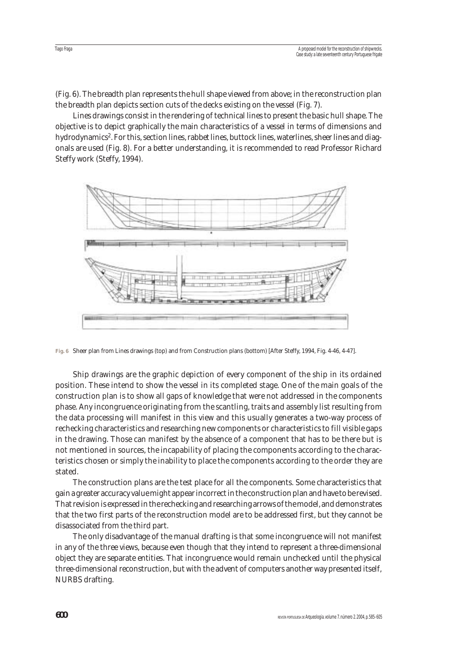(Fig. 6). The breadth plan represents the hull shape viewed from above; in the reconstruction plan the breadth plan depicts section cuts of the decks existing on the vessel (Fig. 7).

Lines drawings consist in the rendering of technical lines to present the basic hull shape. The objective is to depict graphically the main characteristics of a vessel in terms of dimensions and hydrodynamics2. For this, section lines, rabbet lines, buttock lines, waterlines, sheer lines and diagonals are used (Fig. 8). For a better understanding, it is recommended to read Professor Richard Steffy work (Steffy, 1994).



**Fig. 6** Sheer plan from Lines drawings (top) and from Construction plans (bottom) [After Steffy, 1994, Fig. 4-46, 4-47].

Ship drawings are the graphic depiction of every component of the ship in its ordained position. These intend to show the vessel in its completed stage. One of the main goals of the construction plan is to show all gaps of knowledge that were not addressed in the components phase. Any incongruence originating from the scantling, traits and assembly list resulting from the data processing will manifest in this view and this usually generates a two-way process of rechecking characteristics and researching new components or characteristics to fill visible gaps in the drawing. Those can manifest by the absence of a component that has to be there but is not mentioned in sources, the incapability of placing the components according to the characteristics chosen or simply the inability to place the components according to the order they are stated.

The construction plans are the test place for all the components. Some characteristics that gain a greater accuracy value might appear incorrect in the construction plan and have to be revised. That revision is expressed in the rechecking and researching arrows of the model, and demonstrates that the two first parts of the reconstruction model are to be addressed first, but they cannot be disassociated from the third part.

The only disadvantage of the manual drafting is that some incongruence will not manifest in any of the three views, because even though that they intend to represent a three-dimensional object they are separate entities. That incongruence would remain unchecked until the physical three-dimensional reconstruction, but with the advent of computers another way presented itself, NURBS drafting.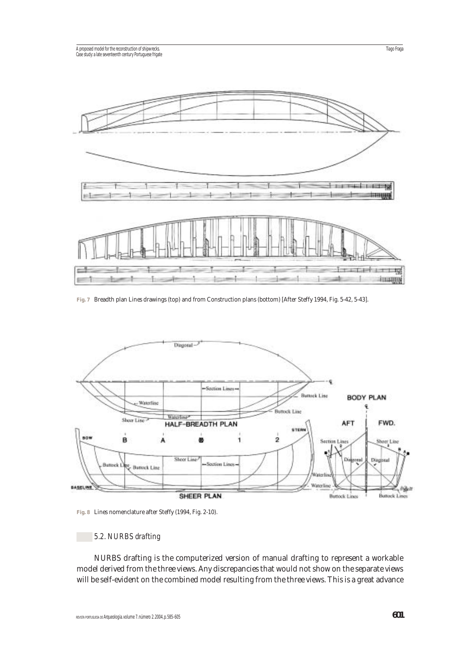

**Fig. 7** Breadth plan Lines drawings (top) and from Construction plans (bottom) [After Steffy 1994, Fig. 5-42, 5-43].



**Fig. 8** Lines nomenclature after Steffy (1994, Fig. 2-10).

# *5.2. NURBS drafting*

NURBS drafting is the computerized version of manual drafting to represent a workable model derived from the three views. Any discrepancies that would not show on the separate views will be self-evident on the combined model resulting from the three views. This is a great advance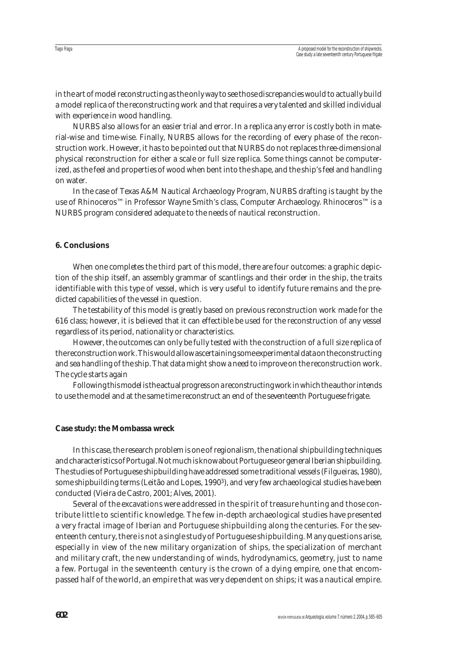in the art of model reconstructing as the only way to see those discrepancies would to actually build a model replica of the reconstructing work and that requires a very talented and skilled individual with experience in wood handling.

NURBS also allows for an easier trial and error. In a replica any error is costly both in material-wise and time-wise. Finally, NURBS allows for the recording of every phase of the reconstruction work. However, it has to be pointed out that NURBS do not replaces three-dimensional physical reconstruction for either a scale or full size replica. Some things cannot be computerized, as the feel and properties of wood when bent into the shape, and the ship's feel and handling on water.

In the case of Texas A&M Nautical Archaeology Program, NURBS drafting is taught by the use of Rhinoceros™ in Professor Wayne Smith's class, Computer Archaeology. Rhinoceros™ is a NURBS program considered adequate to the needs of nautical reconstruction.

## **6. Conclusions**

When one completes the third part of this model, there are four outcomes: a graphic depiction of the ship itself, an assembly grammar of scantlings and their order in the ship, the traits identifiable with this type of vessel, which is very useful to identify future remains and the predicted capabilities of the vessel in question.

The testability of this model is greatly based on previous reconstruction work made for the 616 class; however, it is believed that it can effectible be used for the reconstruction of any vessel regardless of its period, nationality or characteristics.

However, the outcomes can only be fully tested with the construction of a full size replica of the reconstruction work. This would allow ascertaining some experimental data on the constructing and sea handling of the ship. That data might show a need to improve on the reconstruction work. The cycle starts again

Following this model is the actual progress on a reconstructing work in which the author intends to use the model and at the same time reconstruct an end of the seventeenth Portuguese frigate.

#### **Case study: the Mombassa wreck**

In this case, the research problem is one of regionalism, the national shipbuilding techniques and characteristics of Portugal. Not much is know about Portuguese or general Iberian shipbuilding. The studies of Portuguese shipbuilding have addressed some traditional vessels (Filgueiras, 1980), some shipbuilding terms (Leitão and Lopes, 1990<sup>3</sup>), and very few archaeological studies have been conducted (Vieira de Castro, 2001; Alves, 2001).

Several of the excavations were addressed in the spirit of treasure hunting and those contribute little to scientific knowledge. The few in-depth archaeological studies have presented a very fractal image of Iberian and Portuguese shipbuilding along the centuries. For the seventeenth century, there is not a single study of Portuguese shipbuilding. Many questions arise, especially in view of the new military organization of ships, the specialization of merchant and military craft, the new understanding of winds, hydrodynamics, geometry, just to name a few. Portugal in the seventeenth century is the crown of a dying empire, one that encompassed half of the world, an empire that was very dependent on ships; it was a nautical empire.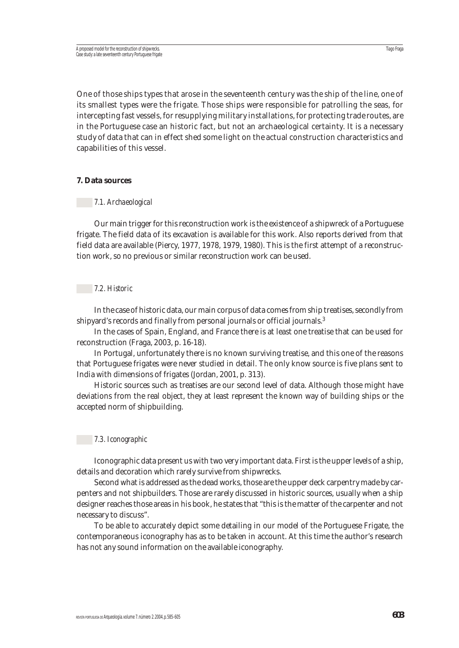One of those ships types that arose in the seventeenth century was the ship of the line, one of its smallest types were the frigate. Those ships were responsible for patrolling the seas, for intercepting fast vessels, for resupplying military installations, for protecting trade routes, are in the Portuguese case an historic fact, but not an archaeological certainty. It is a necessary study of data that can in effect shed some light on the actual construction characteristics and capabilities of this vessel.

#### **7. Data sources**

#### *7.1. Archaeological*

Our main trigger for this reconstruction work is the existence of a shipwreck of a Portuguese frigate. The field data of its excavation is available for this work. Also reports derived from that field data are available (Piercy, 1977, 1978, 1979, 1980). This is the first attempt of a reconstruction work, so no previous or similar reconstruction work can be used.

#### *7.2. Historic*

In the case of historic data, our main corpus of data comes from ship treatises, secondly from shipyard's records and finally from personal journals or official journals.3

In the cases of Spain, England, and France there is at least one treatise that can be used for reconstruction (Fraga, 2003, p. 16-18).

In Portugal, unfortunately there is no known surviving treatise, and this one of the reasons that Portuguese frigates were never studied in detail. The only know source is five plans sent to India with dimensions of frigates (Jordan, 2001, p. 313).

Historic sources such as treatises are our second level of data. Although those might have deviations from the real object, they at least represent the known way of building ships or the accepted norm of shipbuilding.

#### *7.3. Iconographic*

Iconographic data present us with two very important data. First is the upper levels of a ship, details and decoration which rarely survive from shipwrecks.

Second what is addressed as the dead works, those are the upper deck carpentry made by carpenters and not shipbuilders. Those are rarely discussed in historic sources, usually when a ship designer reaches those areas in his book, he states that "this is the matter of the carpenter and not necessary to discuss".

To be able to accurately depict some detailing in our model of the Portuguese Frigate, the contemporaneous iconography has as to be taken in account. At this time the author's research has not any sound information on the available iconography.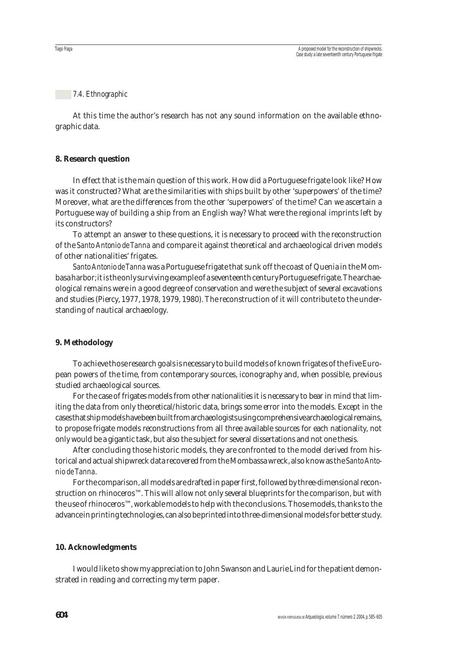#### *7.4. Ethnographic*

At this time the author's research has not any sound information on the available ethnographic data.

#### **8. Research question**

In effect that is the main question of this work. How did a Portuguese frigate look like? How was it constructed? What are the similarities with ships built by other 'superpowers' of the time? Moreover, what are the differences from the other 'superpowers' of the time? Can we ascertain a Portuguese way of building a ship from an English way? What were the regional imprints left by its constructors?

To attempt an answer to these questions, it is necessary to proceed with the reconstruction of the *Santo Antonio de Tanna* and compare it against theoretical and archaeological driven models of other nationalities' frigates.

*Santo Antonio de Tanna*was a Portuguese frigate that sunk off the coast of Quenia in the Mombasa harbor; it is the only surviving example of a seventeenth century Portuguese frigate. The archaeological remains were in a good degree of conservation and were the subject of several excavations and studies (Piercy, 1977, 1978, 1979, 1980). The reconstruction of it will contribute to the understanding of nautical archaeology.

#### **9. Methodology**

To achieve those research goals is necessary to build models of known frigates of the five European powers of the time, from contemporary sources, iconography and, when possible, previous studied archaeological sources.

For the case of frigates models from other nationalities it is necessary to bear in mind that limiting the data from only theoretical/historic data, brings some error into the models. Except in the cases that ship models have been built from archaeologists using comprehensive archaeological remains, to propose frigate models reconstructions from all three available sources for each nationality, not only would be a gigantic task, but also the subject for several dissertations and not one thesis.

After concluding those historic models, they are confronted to the model derived from historical and actual shipwreck data recovered from the Mombassa wreck, also know as the *Santo Antonio de Tanna*.

For the comparison, all models are drafted in paper first, followed by three-dimensional reconstruction on rhinoceros™. This will allow not only several blueprints for the comparison, but with the use of rhinoceros™, workable models to help with the conclusions. Those models, thanks to the advance in printing technologies, can also be printed into three-dimensional models for better study.

#### **10. Acknowledgments**

I would like to show my appreciation to John Swanson and Laurie Lind for the patient demonstrated in reading and correcting my term paper.